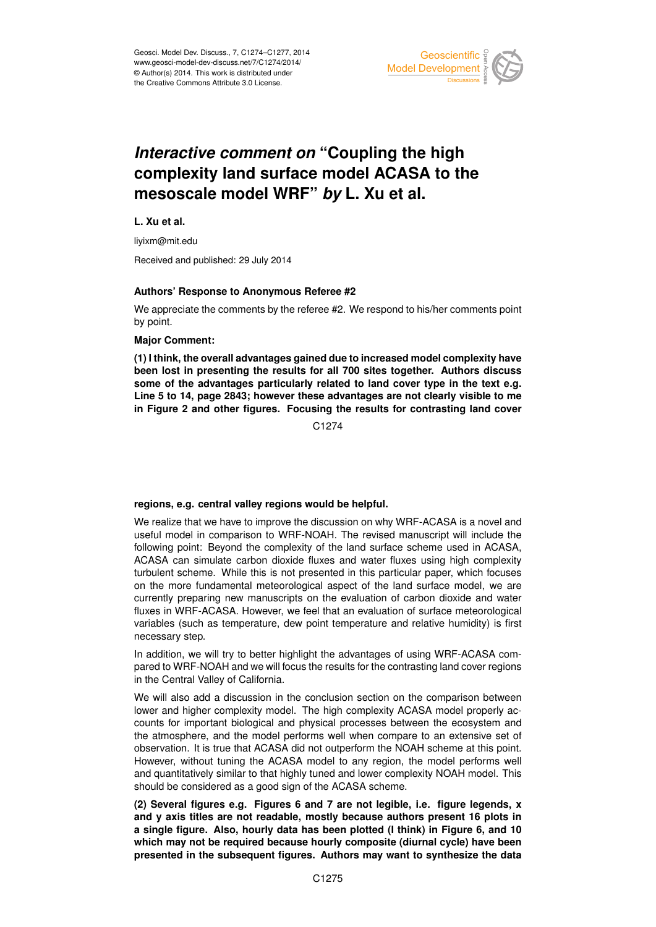

# *Interactive comment on* **"Coupling the high complexity land surface model ACASA to the mesoscale model WRF"** *by* **L. Xu et al.**

**L. Xu et al.**

liyixm@mit.edu

Received and published: 29 July 2014

### **Authors' Response to Anonymous Referee #2**

We appreciate the comments by the referee #2. We respond to his/her comments point by point.

### **Major Comment:**

**(1) I think, the overall advantages gained due to increased model complexity have been lost in presenting the results for all 700 sites together. Authors discuss some of the advantages particularly related to land cover type in the text e.g. Line 5 to 14, page 2843; however these advantages are not clearly visible to me in Figure 2 and other figures. Focusing the results for contrasting land cover**

C<sub>1274</sub>

### **regions, e.g. central valley regions would be helpful.**

We realize that we have to improve the discussion on why WRF-ACASA is a novel and useful model in comparison to WRF-NOAH. The revised manuscript will include the following point: Beyond the complexity of the land surface scheme used in ACASA, ACASA can simulate carbon dioxide fluxes and water fluxes using high complexity turbulent scheme. While this is not presented in this particular paper, which focuses on the more fundamental meteorological aspect of the land surface model, we are currently preparing new manuscripts on the evaluation of carbon dioxide and water fluxes in WRF-ACASA. However, we feel that an evaluation of surface meteorological variables (such as temperature, dew point temperature and relative humidity) is first necessary step.

In addition, we will try to better highlight the advantages of using WRF-ACASA compared to WRF-NOAH and we will focus the results for the contrasting land cover regions in the Central Valley of California.

We will also add a discussion in the conclusion section on the comparison between lower and higher complexity model. The high complexity ACASA model properly accounts for important biological and physical processes between the ecosystem and the atmosphere, and the model performs well when compare to an extensive set of observation. It is true that ACASA did not outperform the NOAH scheme at this point. However, without tuning the ACASA model to any region, the model performs well and quantitatively similar to that highly tuned and lower complexity NOAH model. This should be considered as a good sign of the ACASA scheme.

**(2) Several figures e.g. Figures 6 and 7 are not legible, i.e. figure legends, x and y axis titles are not readable, mostly because authors present 16 plots in a single figure. Also, hourly data has been plotted (I think) in Figure 6, and 10 which may not be required because hourly composite (diurnal cycle) have been presented in the subsequent figures. Authors may want to synthesize the data**